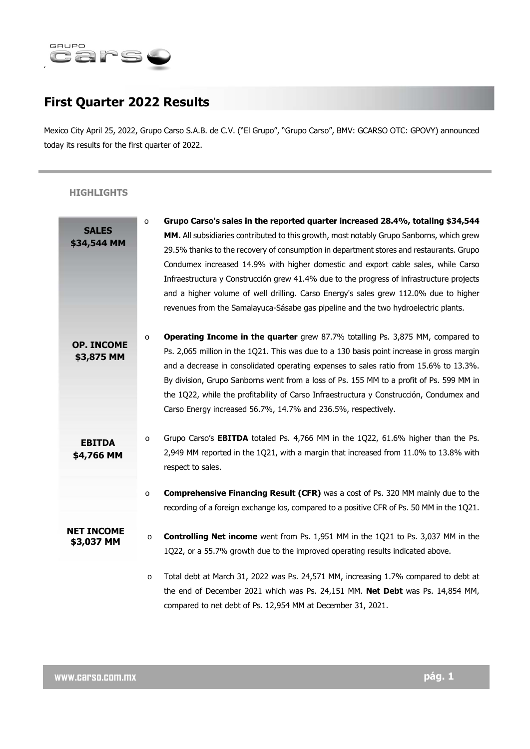

# **First Quarter 2022 Results**

Mexico City April 25, 2022, Grupo Carso S.A.B. de C.V. ("El Grupo", "Grupo Carso", BMV: GCARSO OTC: GPOVY) announced today its results for the first quarter of 2022.

# **HIGHLIGHTS**

|                   | Grupo Carso's sales in the reported quarter increased 28.4%, totaling \$34,544<br>$\circ$          |
|-------------------|----------------------------------------------------------------------------------------------------|
| <b>SALES</b>      | MM. All subsidiaries contributed to this growth, most notably Grupo Sanborns, which grew           |
| \$34,544 MM       | 29.5% thanks to the recovery of consumption in department stores and restaurants. Grupo            |
|                   | Condumex increased 14.9% with higher domestic and export cable sales, while Carso                  |
|                   | Infraestructura y Construcción grew 41.4% due to the progress of infrastructure projects           |
|                   | and a higher volume of well drilling. Carso Energy's sales grew 112.0% due to higher               |
|                   | revenues from the Samalayuca-Sásabe gas pipeline and the two hydroelectric plants.                 |
|                   | <b>Operating Income in the quarter</b> grew 87.7% totalling Ps. 3,875 MM, compared to<br>$\circ$   |
| <b>OP. INCOME</b> | Ps. 2,065 million in the 1Q21. This was due to a 130 basis point increase in gross margin          |
| \$3,875 MM        | and a decrease in consolidated operating expenses to sales ratio from 15.6% to 13.3%.              |
|                   | By division, Grupo Sanborns went from a loss of Ps. 155 MM to a profit of Ps. 599 MM in            |
|                   | the 1Q22, while the profitability of Carso Infraestructura y Construcción, Condumex and            |
|                   | Carso Energy increased 56.7%, 14.7% and 236.5%, respectively.                                      |
| <b>EBITDA</b>     | Grupo Carso's EBITDA totaled Ps. 4,766 MM in the 1Q22, 61.6% higher than the Ps.<br>$\circ$        |
| \$4,766 MM        | 2,949 MM reported in the 1Q21, with a margin that increased from 11.0% to 13.8% with               |
|                   | respect to sales.                                                                                  |
|                   | <b>Comprehensive Financing Result (CFR)</b> was a cost of Ps. 320 MM mainly due to the<br>$\circ$  |
|                   | recording of a foreign exchange los, compared to a positive CFR of Ps. 50 MM in the 1Q21.          |
| <b>NET INCOME</b> | <b>Controlling Net income</b> went from Ps. 1,951 MM in the 1Q21 to Ps. 3,037 MM in the<br>$\circ$ |
| \$3,037 MM        | 1Q22, or a 55.7% growth due to the improved operating results indicated above.                     |
|                   | Total debt at March 31, 2022 was Ps. 24,571 MM, increasing 1.7% compared to debt at<br>$\circ$     |
|                   | the end of December 2021 which was Ps. 24,151 MM. Net Debt was Ps. 14,854 MM,                      |
|                   | compared to net debt of Ps. 12,954 MM at December 31, 2021.                                        |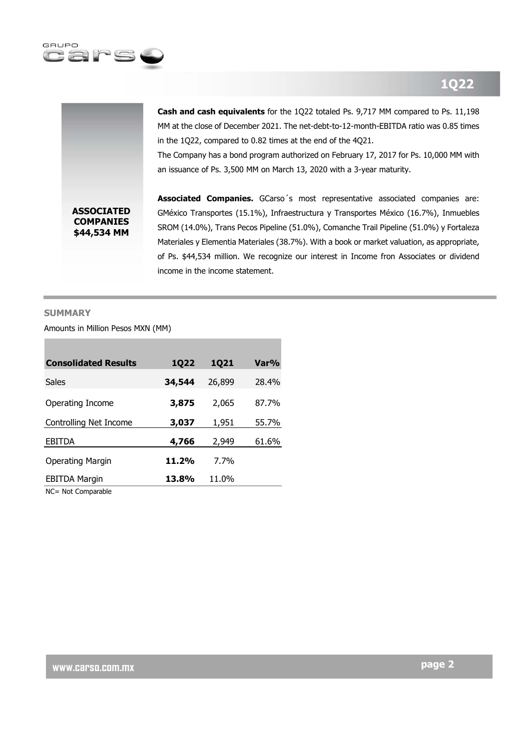



**Cash and cash equivalents** for the 1Q22 totaled Ps. 9,717 MM compared to Ps. 11,198 MM at the close of December 2021. The net-debt-to-12-month-EBITDA ratio was 0.85 times in the 1Q22, compared to 0.82 times at the end of the 4Q21.

The Company has a bond program authorized on February 17, 2017 for Ps. 10,000 MM with an issuance of Ps. 3,500 MM on March 13, 2020 with a 3-year maturity.

**Associated Companies.** GCarso´s most representative associated companies are: GMéxico Transportes (15.1%), Infraestructura y Transportes México (16.7%), Inmuebles SROM (14.0%), Trans Pecos Pipeline (51.0%), Comanche Trail Pipeline (51.0%) y Fortaleza Materiales y Elementia Materiales (38.7%). With a book or market valuation, as appropriate, of Ps. \$44,534 million. We recognize our interest in Income fron Associates or dividend income in the income statement.

#### **SUMMARY**

Amounts in Million Pesos MXN (MM)

| <b>Consolidated Results</b> | <b>1Q22</b> | <b>1Q21</b> | Var%  |
|-----------------------------|-------------|-------------|-------|
| Sales                       | 34,544      | 26,899      | 28.4% |
| Operating Income            | 3,875       | 2,065       | 87.7% |
| Controlling Net Income      | 3,037       | 1,951       | 55.7% |
| <b>EBITDA</b>               | 4,766       | 2,949       | 61.6% |
| Operating Margin            | 11.2%       | 7.7%        |       |
| <b>EBITDA Margin</b>        | 13.8%       | 11.0%       |       |

NC= Not Comparable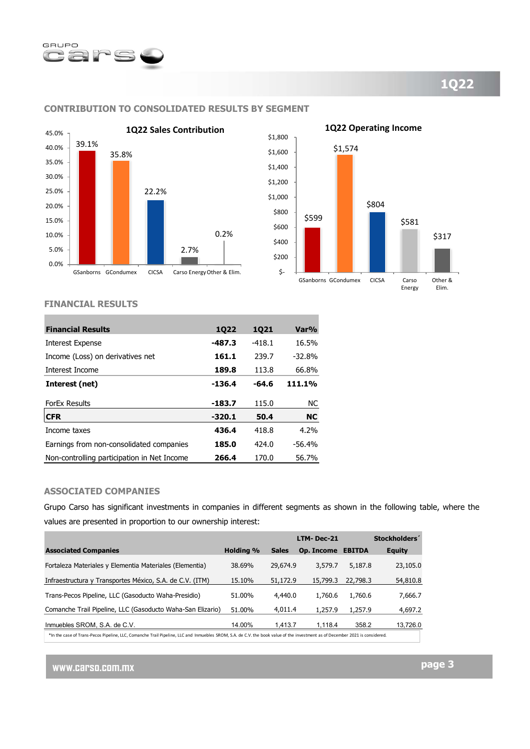



# **CONTRIBUTION TO CONSOLIDATED RESULTS BY SEGMENT**



#### **FINANCIAL RESULTS**

| <b>Financial Results</b>                    | 1022     | 1021     | Var%      |
|---------------------------------------------|----------|----------|-----------|
| Interest Expense                            | $-487.3$ | $-418.1$ | 16.5%     |
| Income (Loss) on derivatives net            | 161.1    | 239.7    | $-32.8%$  |
| Interest Income                             | 189.8    | 113.8    | 66.8%     |
| Interest (net)                              | $-136.4$ | -64.6    | 111.1%    |
| <b>ForEx Results</b>                        | $-183.7$ | 115.0    | NC.       |
| <b>CFR</b>                                  | $-320.1$ | 50.4     | <b>NC</b> |
| Income taxes                                | 436.4    | 418.8    | 4.2%      |
| Earnings from non-consolidated companies    | 185.0    | 424.0    | $-56.4%$  |
| Non-controlling participation in Net Income | 266.4    | 170.0    | 56.7%     |

# **ASSOCIATED COMPANIES**

Grupo Carso has significant investments in companies in different segments as shown in the following table, where the values are presented in proportion to our ownership interest:

|                                                                                                                                                                              |                  |              | LTM-Dec-21 |               | Stockholders' |
|------------------------------------------------------------------------------------------------------------------------------------------------------------------------------|------------------|--------------|------------|---------------|---------------|
| <b>Associated Companies</b>                                                                                                                                                  | <b>Holding %</b> | <b>Sales</b> | Op. Income | <b>EBITDA</b> | <b>Equity</b> |
| Fortaleza Materiales y Elementia Materiales (Elementia)                                                                                                                      | 38.69%           | 29,674.9     | 3,579.7    | 5,187.8       | 23,105.0      |
| Infraestructura y Transportes México, S.A. de C.V. (ITM)                                                                                                                     | 15.10%           | 51,172.9     | 15,799.3   | 22,798.3      | 54,810.8      |
| Trans-Pecos Pipeline, LLC (Gasoducto Waha-Presidio)                                                                                                                          | 51.00%           | 4,440.0      | 1,760.6    | 1,760.6       | 7,666.7       |
| Comanche Trail Pipeline, LLC (Gasoducto Waha-San Elizario)                                                                                                                   | 51.00%           | 4.011.4      | 1,257.9    | 1,257.9       | 4,697.2       |
| Inmuebles SROM, S.A. de C.V.                                                                                                                                                 | 14.00%           | 1.413.7      | 1.118.4    | 358.2         | 13,726.0      |
| *In the case of Trans-Pecos Pipeline, LLC, Comanche Trail Pipeline, LLC and Inmuebles SROM, S.A. de C.V. the book value of the investment as of December 2021 is considered. |                  |              |            |               |               |

**www.carso.com.mx**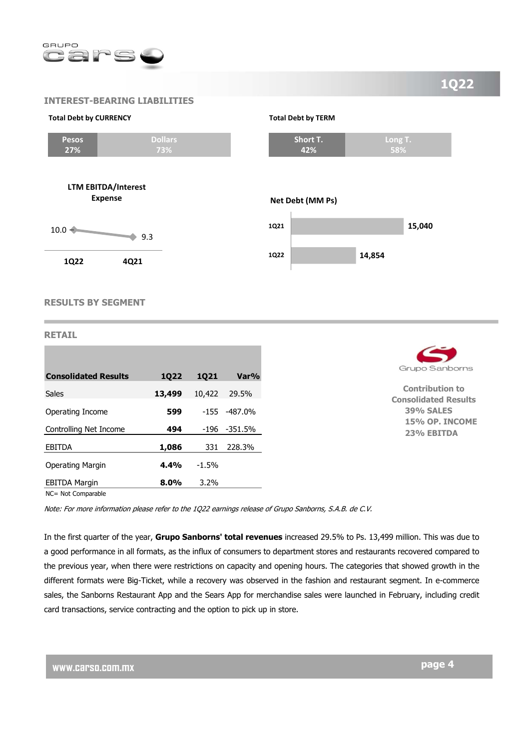

# **INTEREST-BEARING LIABILITIES**

#### **Total Debt by CURRENCY**



**LTM EBITDA/Interest Expense**





**58%**

**Short T. 42%**

**Total Debt by TERM**

**RESULTS BY SEGMENT** 

# **RETAIL**

| <b>Consolidated Results</b> | 1022    | 1021    | Var%             |
|-----------------------------|---------|---------|------------------|
| <b>Sales</b>                | 13,499  | 10,422  | 29.5%            |
| Operating Income            | 599     |         | $-155 - 487.0\%$ |
| Controlling Net Income      | 494     | -196    | $-351.5%$        |
| <b>EBITDA</b>               | 1,086   | 331     | 228.3%           |
| Operating Margin            | 4.4%    | $-1.5%$ |                  |
| <b>EBITDA Margin</b>        | $8.0\%$ | 3.2%    |                  |
| NC= Not Comparable          |         |         |                  |



**Contribution to Consolidated Results 39% SALES 15% OP. INCOME 23% EBITDA** 

Note: For more information please refer to the 1Q22 earnings release of Grupo Sanborns, S.A.B. de C.V.

In the first quarter of the year, **Grupo Sanborns' total revenues** increased 29.5% to Ps. 13,499 million. This was due to a good performance in all formats, as the influx of consumers to department stores and restaurants recovered compared to the previous year, when there were restrictions on capacity and opening hours. The categories that showed growth in the different formats were Big-Ticket, while a recovery was observed in the fashion and restaurant segment. In e-commerce sales, the Sanborns Restaurant App and the Sears App for merchandise sales were launched in February, including credit card transactions, service contracting and the option to pick up in store.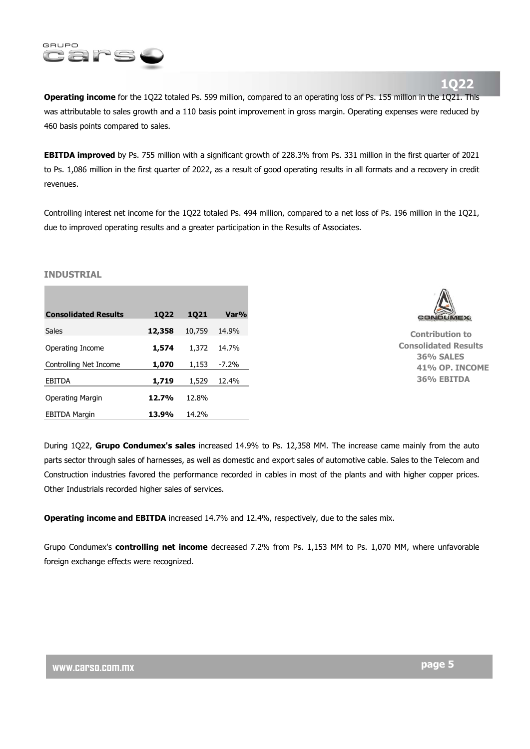

**1Q22** 

**Operating income** for the 1Q22 totaled Ps. 599 million, compared to an operating loss of Ps. 155 million in the 1Q21. This was attributable to sales growth and a 110 basis point improvement in gross margin. Operating expenses were reduced by 460 basis points compared to sales.

**EBITDA improved** by Ps. 755 million with a significant growth of 228.3% from Ps. 331 million in the first quarter of 2021 to Ps. 1,086 million in the first quarter of 2022, as a result of good operating results in all formats and a recovery in credit revenues.

Controlling interest net income for the 1Q22 totaled Ps. 494 million, compared to a net loss of Ps. 196 million in the 1Q21, due to improved operating results and a greater participation in the Results of Associates.

#### **INDUSTRIAL**

| <b>Consolidated Results</b> | 1022   | 1021   | Var%     |
|-----------------------------|--------|--------|----------|
| Sales                       | 12,358 | 10,759 | 14.9%    |
| Operating Income            | 1,574  | 1,372  | 14.7%    |
| Controlling Net Income      | 1,070  | 1,153  | $-7.2\%$ |
| <b>EBITDA</b>               | 1,719  | 1,529  | 12.4%    |
| Operating Margin            | 12.7%  | 12.8%  |          |
| <b>EBITDA Margin</b>        | 13.9%  | 14.2%  |          |



**Contribution to Consolidated Results 36% SALES 41% OP. INCOME 36% EBITDA**

During 1Q22, **Grupo Condumex's sales** increased 14.9% to Ps. 12,358 MM. The increase came mainly from the auto parts sector through sales of harnesses, as well as domestic and export sales of automotive cable. Sales to the Telecom and Construction industries favored the performance recorded in cables in most of the plants and with higher copper prices. Other Industrials recorded higher sales of services.

**Operating income and EBITDA** increased 14.7% and 12.4%, respectively, due to the sales mix.

Grupo Condumex's **controlling net income** decreased 7.2% from Ps. 1,153 MM to Ps. 1,070 MM, where unfavorable foreign exchange effects were recognized.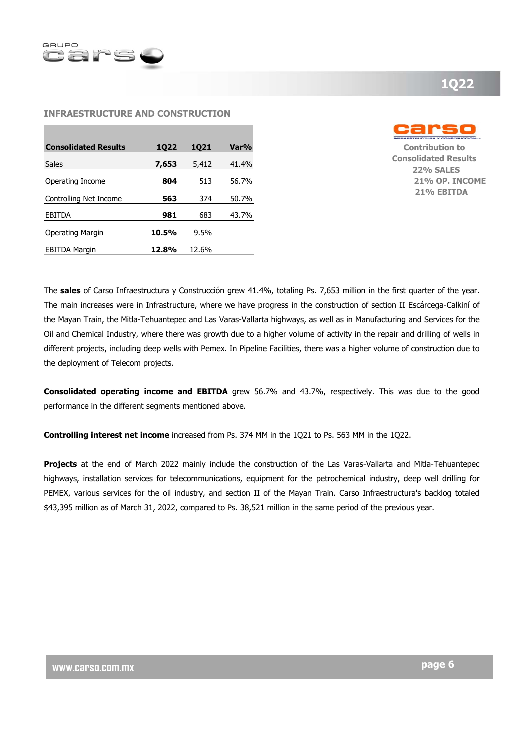

# **1Q22**

#### **INFRAESTRUCTURE AND CONSTRUCTION**

| <b>Consolidated Results</b> | 1022  | 1021  | Var%  |
|-----------------------------|-------|-------|-------|
| Sales                       | 7,653 | 5,412 | 41.4% |
| Operating Income            | 804   | 513   | 56.7% |
| Controlling Net Income      | 563   | 374   | 50.7% |
| <b>EBITDA</b>               | 981   | 683   | 43.7% |
| Operating Margin            | 10.5% | 9.5%  |       |
| <b>EBITDA Margin</b>        | 12.8% | 12.6% |       |



**Contribution to Consolidated Results 22% SALES 21% OP. INCOME 21% EBITDA**

The **sales** of Carso Infraestructura y Construcción grew 41.4%, totaling Ps. 7,653 million in the first quarter of the year. The main increases were in Infrastructure, where we have progress in the construction of section II Escárcega-Calkiní of the Mayan Train, the Mitla-Tehuantepec and Las Varas-Vallarta highways, as well as in Manufacturing and Services for the Oil and Chemical Industry, where there was growth due to a higher volume of activity in the repair and drilling of wells in different projects, including deep wells with Pemex. In Pipeline Facilities, there was a higher volume of construction due to the deployment of Telecom projects.

**Consolidated operating income and EBITDA** grew 56.7% and 43.7%, respectively. This was due to the good performance in the different segments mentioned above.

**Controlling interest net income** increased from Ps. 374 MM in the 1Q21 to Ps. 563 MM in the 1Q22.

**Projects** at the end of March 2022 mainly include the construction of the Las Varas-Vallarta and Mitla-Tehuantepec highways, installation services for telecommunications, equipment for the petrochemical industry, deep well drilling for PEMEX, various services for the oil industry, and section II of the Mayan Train. Carso Infraestructura's backlog totaled \$43,395 million as of March 31, 2022, compared to Ps. 38,521 million in the same period of the previous year.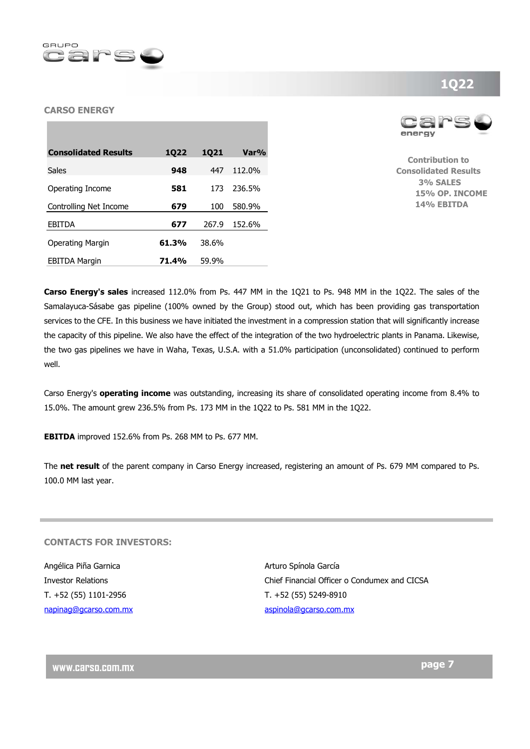

# **CARSO ENERGY**





**Contribution to Consolidated Results 3% SALES 15% OP. INCOME 14% EBITDA** 

**Carso Energy's sales** increased 112.0% from Ps. 447 MM in the 1Q21 to Ps. 948 MM in the 1Q22. The sales of the Samalayuca-Sásabe gas pipeline (100% owned by the Group) stood out, which has been providing gas transportation services to the CFE. In this business we have initiated the investment in a compression station that will significantly increase the capacity of this pipeline. We also have the effect of the integration of the two hydroelectric plants in Panama. Likewise, the two gas pipelines we have in Waha, Texas, U.S.A. with a 51.0% participation (unconsolidated) continued to perform well.

Carso Energy's **operating income** was outstanding, increasing its share of consolidated operating income from 8.4% to 15.0%. The amount grew 236.5% from Ps. 173 MM in the 1Q22 to Ps. 581 MM in the 1Q22.

**EBITDA** improved 152.6% from Ps. 268 MM to Ps. 677 MM.

The **net result** of the parent company in Carso Energy increased, registering an amount of Ps. 679 MM compared to Ps. 100.0 MM last year.

# **CONTACTS FOR INVESTORS:**

Angélica Piña Garnica **Arturo Spínola García** Arturo Spínola García T. +52 (55) 1101-2956 T. +52 (55) 5249-8910 napinag@gcarso.com.mx aspinola@gcarso.com.mx

Investor Relations Chief Financial Officer o Condumex and CICSA

**www.carso.com.mx** 

# **1Q22**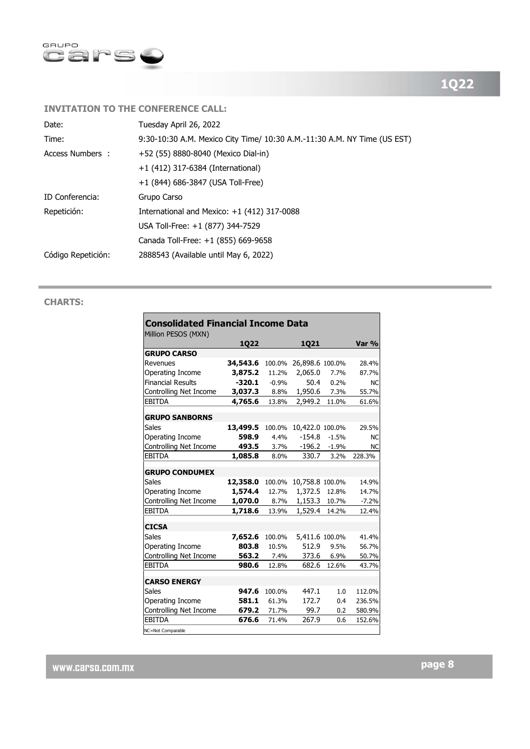

# **INVITATION TO THE CONFERENCE CALL:**

| 9:30-10:30 A.M. Mexico City Time/ 10:30 A.M.-11:30 A.M. NY Time (US EST) |
|--------------------------------------------------------------------------|
|                                                                          |
|                                                                          |
|                                                                          |
|                                                                          |
|                                                                          |
|                                                                          |
|                                                                          |
|                                                                          |
|                                                                          |

# **CHARTS:**

| <b>Consolidated Financial Income Data</b><br>Million PESOS (MXN) |                   |                |                 |                    |                        |  |
|------------------------------------------------------------------|-------------------|----------------|-----------------|--------------------|------------------------|--|
|                                                                  | 1Q22              |                | <b>1Q21</b>     |                    | Var %                  |  |
| <b>GRUPO CARSO</b>                                               |                   |                |                 |                    |                        |  |
| Revenues                                                         | 34,543.6          | 100.0%         | 26,898.6 100.0% |                    | 28.4%                  |  |
| Operating Income                                                 | 3,875.2           | 11.2%          | 2,065.0         | 7.7%               | 87.7%                  |  |
| <b>Financial Results</b>                                         | $-320.1$          | $-0.9%$        | 50.4            | 0.2%               | <b>NC</b>              |  |
| Controlling Net Income                                           | 3,037.3           | 8.8%           | 1,950.6         | 7.3%               | 55.7%                  |  |
| <b>EBITDA</b>                                                    | 4,765.6           | 13.8%          | 2,949.2         | 11.0%              | 61.6%                  |  |
|                                                                  |                   |                |                 |                    |                        |  |
| <b>GRUPO SANBORNS</b><br>Sales                                   |                   |                | 10,422.0        |                    | 29.5%                  |  |
|                                                                  | 13,499.5<br>598.9 | 100.0%<br>4.4% | $-154.8$        | 100.0%             |                        |  |
| Operating Income<br>Controlling Net Income                       | 493.5             | 3.7%           | -196.2          | $-1.5%$<br>$-1.9%$ | <b>NC</b><br><b>NC</b> |  |
| <b>EBITDA</b>                                                    | 1,085.8           | 8.0%           | 330.7           | 3.2%               | 228.3%                 |  |
|                                                                  |                   |                |                 |                    |                        |  |
| <b>GRUPO CONDUMEX</b>                                            |                   |                |                 |                    |                        |  |
| Sales                                                            | 12,358.0          | 100.0%         | 10,758.8 100.0% |                    | 14.9%                  |  |
| Operating Income                                                 | 1,574.4           | 12.7%          | 1,372.5         | 12.8%              | 14.7%                  |  |
| Controlling Net Income                                           | 1,070.0           | 8.7%           | 1,153.3         | 10.7%              | $-7.2%$                |  |
| <b>EBITDA</b>                                                    | 1,718.6           | 13.9%          | 1,529.4         | 14.2%              | 12.4%                  |  |
| <b>CICSA</b>                                                     |                   |                |                 |                    |                        |  |
| Sales                                                            | 7,652.6           | 100.0%         | 5,411.6 100.0%  |                    | 41.4%                  |  |
| Operating Income                                                 | 803.8             | 10.5%          | 512.9           | 9.5%               | 56.7%                  |  |
| Controlling Net Income                                           | 563.2             | 7.4%           | 373.6           | 6.9%               | 50.7%                  |  |
| <b>EBITDA</b>                                                    | 980.6             | 12.8%          | 682.6           | 12.6%              | 43.7%                  |  |
|                                                                  |                   |                |                 |                    |                        |  |
| <b>CARSO ENERGY</b>                                              |                   |                |                 |                    |                        |  |
| Sales                                                            | 947.6             | 100.0%         | 447.1           | 1.0                | 112.0%                 |  |
| Operating Income                                                 | 581.1             | 61.3%          | 172.7           | 0.4                | 236.5%                 |  |
| Controlling Net Income                                           | 679.2             | 71.7%          | 99.7            | 0.2                | 580.9%                 |  |
| <b>EBITDA</b>                                                    | 676.6             | 71.4%          | 267.9           | 0.6                | 152.6%                 |  |
| NC=Not Comparable                                                |                   |                |                 |                    |                        |  |

**www.carso.com.mx**